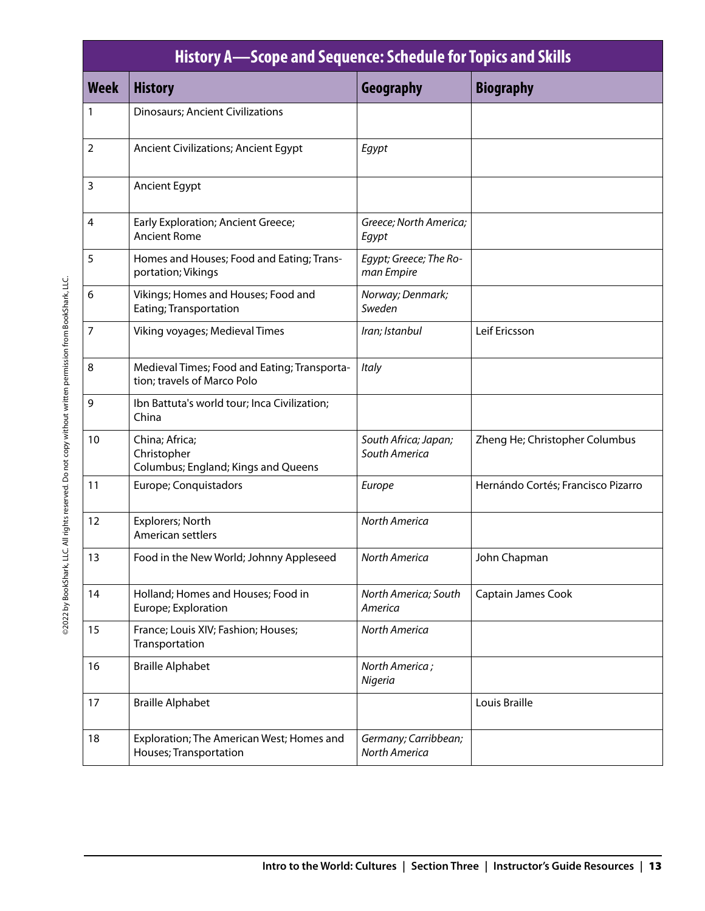| History A—Scope and Sequence: Schedule for Topics and Skills |                                                                             |                                       |                                    |  |
|--------------------------------------------------------------|-----------------------------------------------------------------------------|---------------------------------------|------------------------------------|--|
| <b>Week</b>                                                  | <b>History</b>                                                              | Geography                             | <b>Biography</b>                   |  |
| 1                                                            | <b>Dinosaurs; Ancient Civilizations</b>                                     |                                       |                                    |  |
| $\overline{2}$                                               | <b>Ancient Civilizations; Ancient Egypt</b>                                 | Egypt                                 |                                    |  |
| 3                                                            | Ancient Egypt                                                               |                                       |                                    |  |
| 4                                                            | Early Exploration; Ancient Greece;<br><b>Ancient Rome</b>                   | Greece; North America;<br>Egypt       |                                    |  |
| 5                                                            | Homes and Houses; Food and Eating; Trans-<br>portation; Vikings             | Egypt; Greece; The Ro-<br>man Empire  |                                    |  |
| 6                                                            | Vikings; Homes and Houses; Food and<br>Eating; Transportation               | Norway; Denmark;<br>Sweden            |                                    |  |
| 7                                                            | Viking voyages; Medieval Times                                              | Iran; Istanbul                        | Leif Ericsson                      |  |
| 8                                                            | Medieval Times; Food and Eating; Transporta-<br>tion; travels of Marco Polo | <b>Italy</b>                          |                                    |  |
| 9                                                            | Ibn Battuta's world tour; Inca Civilization;<br>China                       |                                       |                                    |  |
| 10                                                           | China; Africa;<br>Christopher<br>Columbus; England; Kings and Queens        | South Africa; Japan;<br>South America | Zheng He; Christopher Columbus     |  |
| 11                                                           | Europe; Conquistadors                                                       | Europe                                | Hernándo Cortés; Francisco Pizarro |  |
| 12                                                           | Explorers; North<br>American settlers                                       | <b>North America</b>                  |                                    |  |
| 13                                                           | Food in the New World; Johnny Appleseed                                     | North America                         | John Chapman                       |  |
| 14                                                           | Holland; Homes and Houses; Food in<br>Europe; Exploration                   | North America; South<br>America       | Captain James Cook                 |  |
| 15                                                           | France; Louis XIV; Fashion; Houses;<br>Transportation                       | North America                         |                                    |  |
| 16                                                           | <b>Braille Alphabet</b>                                                     | North America;<br>Nigeria             |                                    |  |
| 17                                                           | <b>Braille Alphabet</b>                                                     |                                       | Louis Braille                      |  |
| 18                                                           | Exploration; The American West; Homes and<br>Houses; Transportation         | Germany; Carribbean;<br>North America |                                    |  |